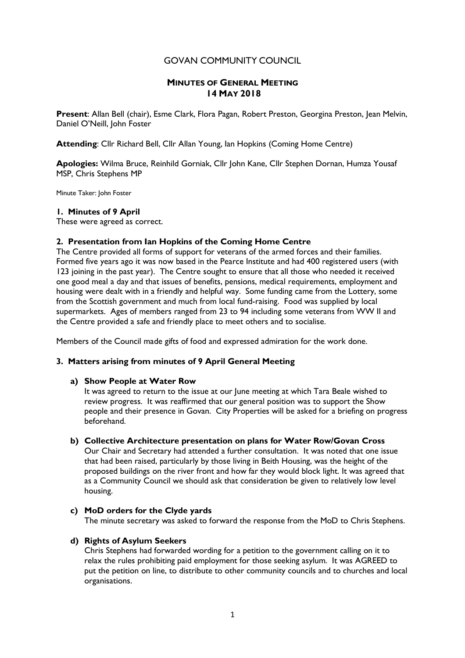## GOVAN COMMUNITY COUNCIL

## **MINUTES OF GENERAL MEETING 14 MAY 2018**

**Present**: Allan Bell (chair), Esme Clark, Flora Pagan, Robert Preston, Georgina Preston, Jean Melvin, Daniel O'Neill, John Foster

**Attending**: Cllr Richard Bell, Cllr Allan Young, Ian Hopkins (Coming Home Centre)

**Apologies:** Wilma Bruce, Reinhild Gorniak, Cllr John Kane, Cllr Stephen Dornan, Humza Yousaf MSP, Chris Stephens MP

Minute Taker: John Foster

#### **1. Minutes of 9 April**

These were agreed as correct.

#### **2. Presentation from Ian Hopkins of the Coming Home Centre**

The Centre provided all forms of support for veterans of the armed forces and their families. Formed five years ago it was now based in the Pearce Institute and had 400 registered users (with 123 joining in the past year). The Centre sought to ensure that all those who needed it received one good meal a day and that issues of benefits, pensions, medical requirements, employment and housing were dealt with in a friendly and helpful way. Some funding came from the Lottery, some from the Scottish government and much from local fund-raising. Food was supplied by local supermarkets. Ages of members ranged from 23 to 94 including some veterans from WW II and the Centre provided a safe and friendly place to meet others and to socialise.

Members of the Council made gifts of food and expressed admiration for the work done.

#### **3. Matters arising from minutes of 9 April General Meeting**

#### **a) Show People at Water Row**

It was agreed to return to the issue at our June meeting at which Tara Beale wished to review progress. It was reaffirmed that our general position was to support the Show people and their presence in Govan. City Properties will be asked for a briefing on progress beforehand.

#### **b) Collective Architecture presentation on plans for Water Row/Govan Cross**

Our Chair and Secretary had attended a further consultation. It was noted that one issue that had been raised, particularly by those living in Beith Housing, was the height of the proposed buildings on the river front and how far they would block light. It was agreed that as a Community Council we should ask that consideration be given to relatively low level housing.

### **c) MoD orders for the Clyde yards**

The minute secretary was asked to forward the response from the MoD to Chris Stephens.

#### **d) Rights of Asylum Seekers**

Chris Stephens had forwarded wording for a petition to the government calling on it to relax the rules prohibiting paid employment for those seeking asylum. It was AGREED to put the petition on line, to distribute to other community councils and to churches and local organisations.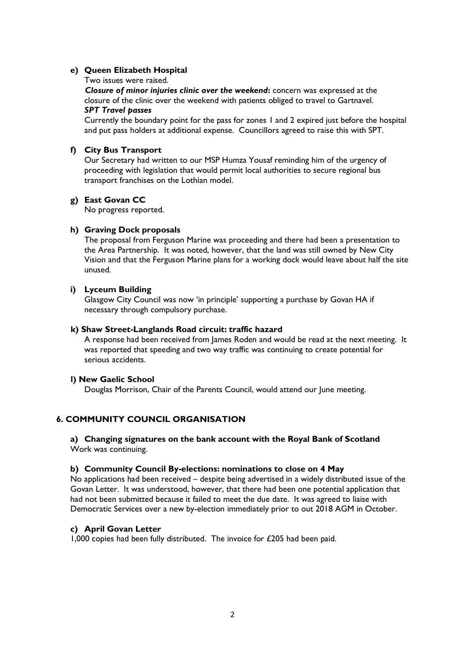### **e) Queen Elizabeth Hospital**

#### Two issues were raised.

 *Closure of minor injuries clinic over the weekend***:** concern was expressed at the closure of the clinic over the weekend with patients obliged to travel to Gartnavel. *SPT Travel passes*

Currently the boundary point for the pass for zones 1 and 2 expired just before the hospital and put pass holders at additional expense. Councillors agreed to raise this with SPT.

## **f) City Bus Transport**

Our Secretary had written to our MSP Humza Yousaf reminding him of the urgency of proceeding with legislation that would permit local authorities to secure regional bus transport franchises on the Lothian model.

## **g) East Govan CC**

No progress reported.

## **h) Graving Dock proposals**

The proposal from Ferguson Marine was proceeding and there had been a presentation to the Area Partnership. It was noted, however, that the land was still owned by New City Vision and that the Ferguson Marine plans for a working dock would leave about half the site unused.

### **i) Lyceum Building**

Glasgow City Council was now 'in principle' supporting a purchase by Govan HA if necessary through compulsory purchase.

#### **k) Shaw Street-Langlands Road circuit: traffic hazard**

A response had been received from James Roden and would be read at the next meeting. It was reported that speeding and two way traffic was continuing to create potential for serious accidents.

## **l) New Gaelic School**

Douglas Morrison, Chair of the Parents Council, would attend our June meeting.

# **6. COMMUNITY COUNCIL ORGANISATION**

### **a) Changing signatures on the bank account with the Royal Bank of Scotland** Work was continuing.

#### **b) Community Council By-elections: nominations to close on 4 May**

No applications had been received – despite being advertised in a widely distributed issue of the Govan Letter. It was understood, however, that there had been one potential application that had not been submitted because it failed to meet the due date. It was agreed to liaise with Democratic Services over a new by-election immediately prior to out 2018 AGM in October.

## **c) April Govan Letter**

1,000 copies had been fully distributed. The invoice for  $£205$  had been paid.